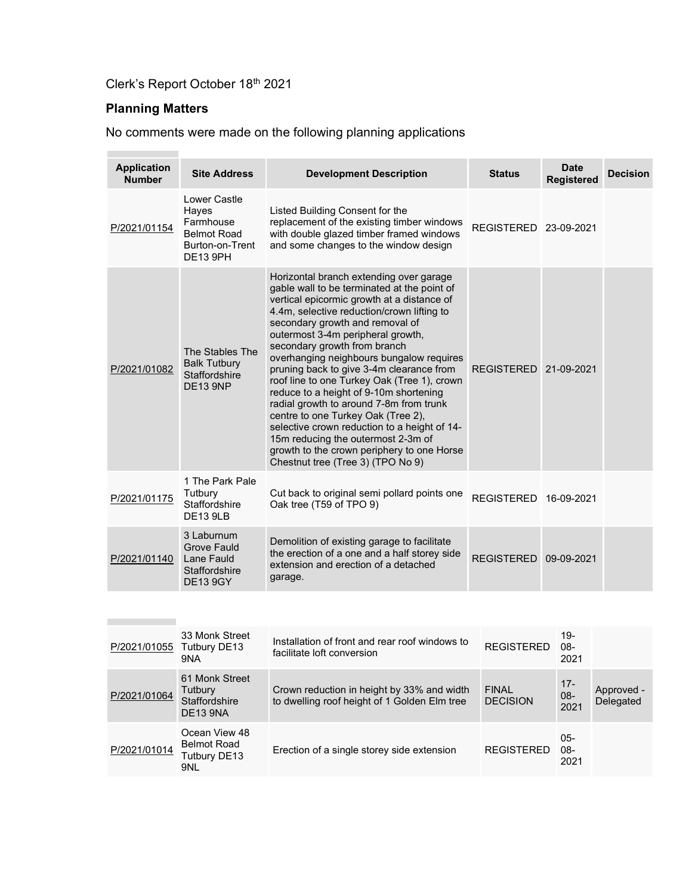# Clerk's Report October 18<sup>th</sup> 2021

# Planning Matters

No comments were made on the following planning applications

| <b>Application</b><br><b>Number</b> | <b>Site Address</b>                                                                       | <b>Development Description</b>                                                                                                                                                                                                                                                                                                                                                                                                                                                                                                                                                                                                                                                                                                        | <b>Status</b>                   | <b>Date</b><br><b>Registered</b> | <b>Decision</b>         |
|-------------------------------------|-------------------------------------------------------------------------------------------|---------------------------------------------------------------------------------------------------------------------------------------------------------------------------------------------------------------------------------------------------------------------------------------------------------------------------------------------------------------------------------------------------------------------------------------------------------------------------------------------------------------------------------------------------------------------------------------------------------------------------------------------------------------------------------------------------------------------------------------|---------------------------------|----------------------------------|-------------------------|
| P/2021/01154                        | Lower Castle<br>Hayes<br>Farmhouse<br><b>Belmot Road</b><br>Burton-on-Trent<br>DE13 9PH   | Listed Building Consent for the<br>replacement of the existing timber windows<br>with double glazed timber framed windows<br>and some changes to the window design                                                                                                                                                                                                                                                                                                                                                                                                                                                                                                                                                                    | REGISTERED 23-09-2021           |                                  |                         |
| P/2021/01082                        | The Stables The<br><b>Balk Tutbury</b><br><b>Staffordshire</b><br><b>DE13 9NP</b>         | Horizontal branch extending over garage<br>gable wall to be terminated at the point of<br>vertical epicormic growth at a distance of<br>4.4m, selective reduction/crown lifting to<br>secondary growth and removal of<br>outermost 3-4m peripheral growth,<br>secondary growth from branch<br>overhanging neighbours bungalow requires<br>pruning back to give 3-4m clearance from<br>roof line to one Turkey Oak (Tree 1), crown<br>reduce to a height of 9-10m shortening<br>radial growth to around 7-8m from trunk<br>centre to one Turkey Oak (Tree 2),<br>selective crown reduction to a height of 14-<br>15m reducing the outermost 2-3m of<br>growth to the crown periphery to one Horse<br>Chestnut tree (Tree 3) (TPO No 9) | <b>REGISTERED</b><br>21-09-2021 |                                  |                         |
| P/2021/01175                        | 1 The Park Pale<br>Tutbury<br>Staffordshire<br><b>DE13 9LB</b>                            | Cut back to original semi pollard points one<br>Oak tree (T59 of TPO 9)                                                                                                                                                                                                                                                                                                                                                                                                                                                                                                                                                                                                                                                               | REGISTERED 16-09-2021           |                                  |                         |
| P/2021/01140                        | 3 Laburnum<br><b>Grove Fauld</b><br>Lane Fauld<br><b>Staffordshire</b><br><b>DE13 9GY</b> | Demolition of existing garage to facilitate<br>the erection of a one and a half storey side<br>extension and erection of a detached<br>garage.                                                                                                                                                                                                                                                                                                                                                                                                                                                                                                                                                                                        | <b>REGISTERED</b>               | 09-09-2021                       |                         |
|                                     |                                                                                           |                                                                                                                                                                                                                                                                                                                                                                                                                                                                                                                                                                                                                                                                                                                                       |                                 |                                  |                         |
| P/2021/01055 Tutbury DE13           | 33 Monk Street<br>9NA                                                                     | Installation of front and rear roof windows to<br>facilitate loft conversion                                                                                                                                                                                                                                                                                                                                                                                                                                                                                                                                                                                                                                                          | <b>REGISTERED</b>               | $19 -$<br>$08 -$<br>2021         |                         |
| P/2021/01064                        | 61 Monk Street<br>Tutbury<br>Staffordshire<br><b>DE12 ONA</b>                             | Crown reduction in height by 33% and width<br>to dwelling roof height of 1 Golden Elm tree                                                                                                                                                                                                                                                                                                                                                                                                                                                                                                                                                                                                                                            | <b>FINAL</b><br><b>DECISION</b> | $17 -$<br>$08 -$<br>2021         | Approved -<br>Delegated |

| PIZUZ 1/U 1004 | Staffordshire<br>DE13 9NA                                  | to dwelling roof height of 1 Golden Elm tree | <b>DECISION</b>   | UO-<br>2021        | Delegated |
|----------------|------------------------------------------------------------|----------------------------------------------|-------------------|--------------------|-----------|
| P/2021/01014   | Ocean View 48<br><b>Belmot Road</b><br>Tutbury DE13<br>9NL | Erection of a single storey side extension   | <b>REGISTERED</b> | 05-<br>08-<br>2021 |           |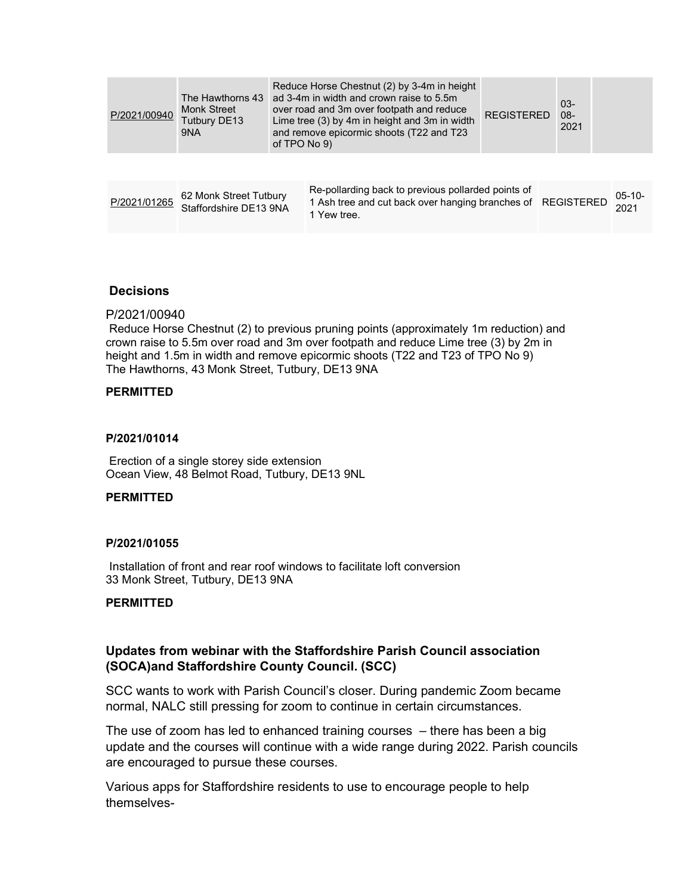| P/2021/00940 | The Hawthorns 43<br><b>Monk Street</b><br>Tutbury DE13<br>9NA | of TPO No 9) | Reduce Horse Chestnut (2) by 3-4m in height<br>ad 3-4m in width and crown raise to 5.5m<br>over road and 3m over footpath and reduce<br>Lime tree (3) by 4m in height and 3m in width<br>and remove epicormic shoots (T22 and T23 | <b>REGISTERED</b> | $03-$<br>$08 -$<br>2021 |                  |
|--------------|---------------------------------------------------------------|--------------|-----------------------------------------------------------------------------------------------------------------------------------------------------------------------------------------------------------------------------------|-------------------|-------------------------|------------------|
|              |                                                               |              |                                                                                                                                                                                                                                   |                   |                         |                  |
| P/2021/01265 | 62 Monk Street Tutbury<br>Staffordshire DE13 9NA              |              | Re-pollarding back to previous pollarded points of<br>1 Ash tree and cut back over hanging branches of REGISTERED<br>1 Yew tree.                                                                                                  |                   |                         | $05-10-$<br>2021 |

#### **Decisions**

#### P/2021/00940

Reduce Horse Chestnut (2) to previous pruning points (approximately 1m reduction) and crown raise to 5.5m over road and 3m over footpath and reduce Lime tree (3) by 2m in height and 1.5m in width and remove epicormic shoots (T22 and T23 of TPO No 9) The Hawthorns, 43 Monk Street, Tutbury, DE13 9NA

#### PERMITTED

#### P/2021/01014

Erection of a single storey side extension Ocean View, 48 Belmot Road, Tutbury, DE13 9NL

#### **PERMITTED**

#### P/2021/01055

Installation of front and rear roof windows to facilitate loft conversion 33 Monk Street, Tutbury, DE13 9NA

#### PERMITTED

#### Updates from webinar with the Staffordshire Parish Council association (SOCA)and Staffordshire County Council. (SCC)

SCC wants to work with Parish Council's closer. During pandemic Zoom became normal, NALC still pressing for zoom to continue in certain circumstances.

The use of zoom has led to enhanced training courses – there has been a big update and the courses will continue with a wide range during 2022. Parish councils are encouraged to pursue these courses.

Various apps for Staffordshire residents to use to encourage people to help themselves-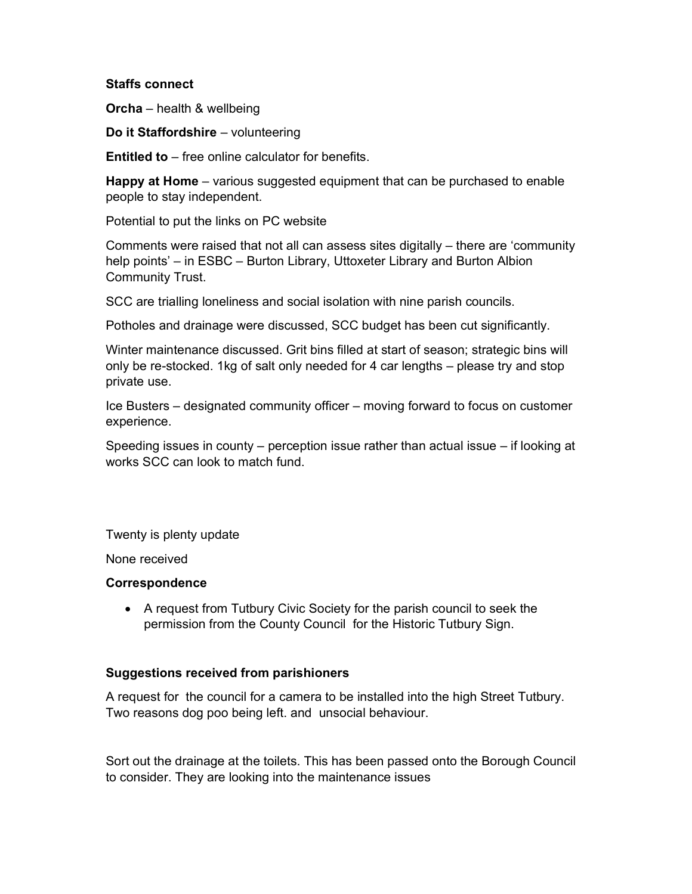#### Staffs connect

Orcha – health & wellbeing

Do it Staffordshire – volunteering

Entitled to – free online calculator for benefits.

Happy at Home – various suggested equipment that can be purchased to enable people to stay independent.

Potential to put the links on PC website

Comments were raised that not all can assess sites digitally – there are 'community help points' – in ESBC – Burton Library, Uttoxeter Library and Burton Albion Community Trust.

SCC are trialling loneliness and social isolation with nine parish councils.

Potholes and drainage were discussed, SCC budget has been cut significantly.

Winter maintenance discussed. Grit bins filled at start of season; strategic bins will only be re-stocked. 1kg of salt only needed for 4 car lengths – please try and stop private use.

Ice Busters – designated community officer – moving forward to focus on customer experience.

Speeding issues in county – perception issue rather than actual issue – if looking at works SCC can look to match fund.

Twenty is plenty update

None received

#### **Correspondence**

 A request from Tutbury Civic Society for the parish council to seek the permission from the County Council for the Historic Tutbury Sign.

#### Suggestions received from parishioners

A request for the council for a camera to be installed into the high Street Tutbury. Two reasons dog poo being left. and unsocial behaviour.

Sort out the drainage at the toilets. This has been passed onto the Borough Council to consider. They are looking into the maintenance issues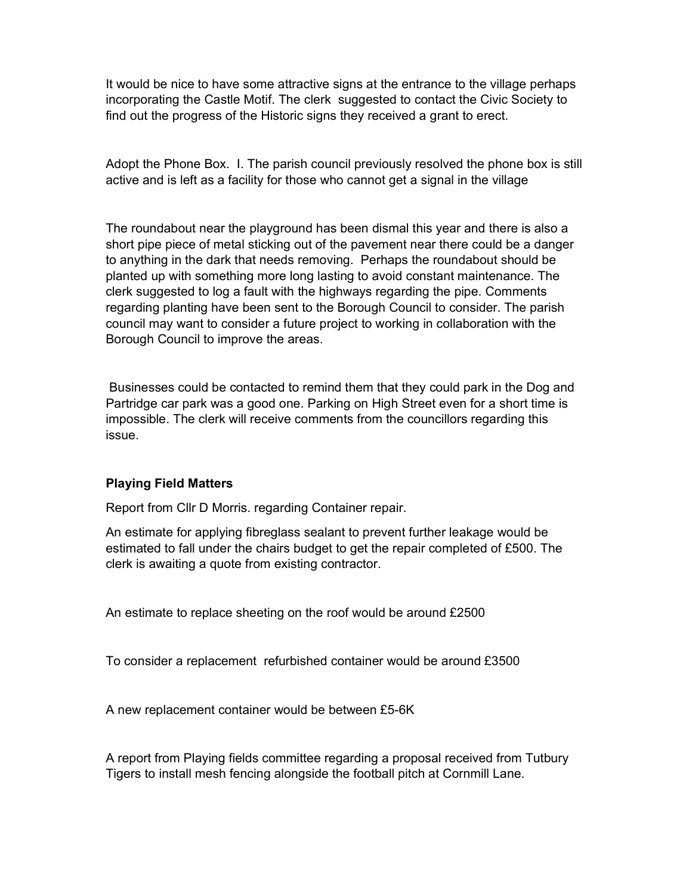It would be nice to have some attractive signs at the entrance to the village perhaps incorporating the Castle Motif. The clerk suggested to contact the Civic Society to find out the progress of the Historic signs they received a grant to erect.

Adopt the Phone Box. I. The parish council previously resolved the phone box is still active and is left as a facility for those who cannot get a signal in the village

The roundabout near the playground has been dismal this year and there is also a short pipe piece of metal sticking out of the pavement near there could be a danger to anything in the dark that needs removing. Perhaps the roundabout should be planted up with something more long lasting to avoid constant maintenance. The clerk suggested to log a fault with the highways regarding the pipe. Comments regarding planting have been sent to the Borough Council to consider. The parish council may want to consider a future project to working in collaboration with the Borough Council to improve the areas.

 Businesses could be contacted to remind them that they could park in the Dog and Partridge car park was a good one. Parking on High Street even for a short time is impossible. The clerk will receive comments from the councillors regarding this issue.

#### Playing Field Matters

Report from Cllr D Morris. regarding Container repair.

An estimate for applying fibreglass sealant to prevent further leakage would be estimated to fall under the chairs budget to get the repair completed of £500. The clerk is awaiting a quote from existing contractor.

An estimate to replace sheeting on the roof would be around £2500

To consider a replacement refurbished container would be around £3500

A new replacement container would be between £5-6K

A report from Playing fields committee regarding a proposal received from Tutbury Tigers to install mesh fencing alongside the football pitch at Cornmill Lane.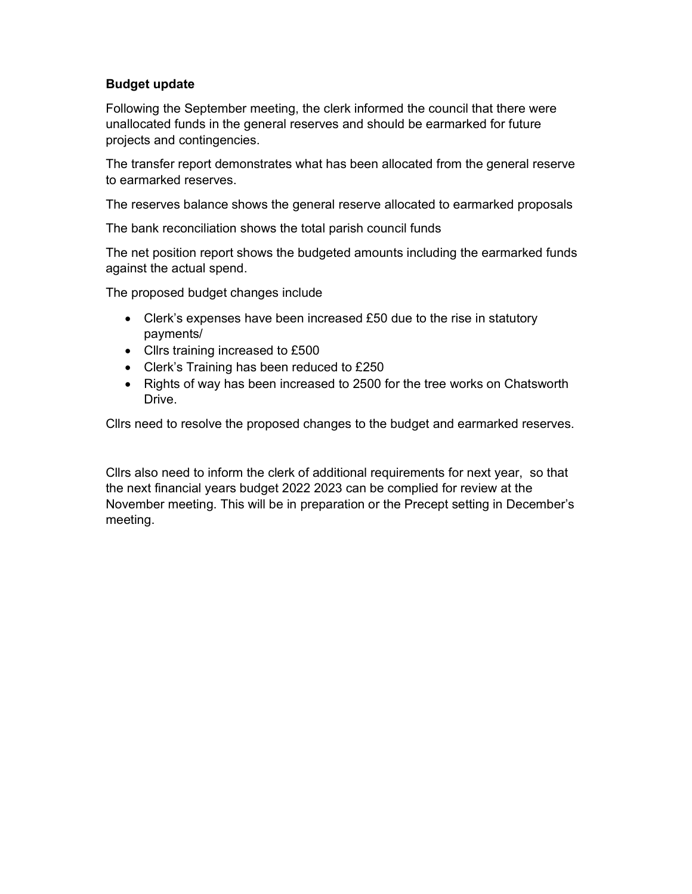### Budget update

Following the September meeting, the clerk informed the council that there were unallocated funds in the general reserves and should be earmarked for future projects and contingencies.

The transfer report demonstrates what has been allocated from the general reserve to earmarked reserves.

The reserves balance shows the general reserve allocated to earmarked proposals

The bank reconciliation shows the total parish council funds

The net position report shows the budgeted amounts including the earmarked funds against the actual spend.

The proposed budget changes include

- Clerk's expenses have been increased £50 due to the rise in statutory payments/
- Cllrs training increased to £500
- Clerk's Training has been reduced to £250
- Rights of way has been increased to 2500 for the tree works on Chatsworth **Drive**

Cllrs need to resolve the proposed changes to the budget and earmarked reserves.

Cllrs also need to inform the clerk of additional requirements for next year, so that the next financial years budget 2022 2023 can be complied for review at the November meeting. This will be in preparation or the Precept setting in December's meeting.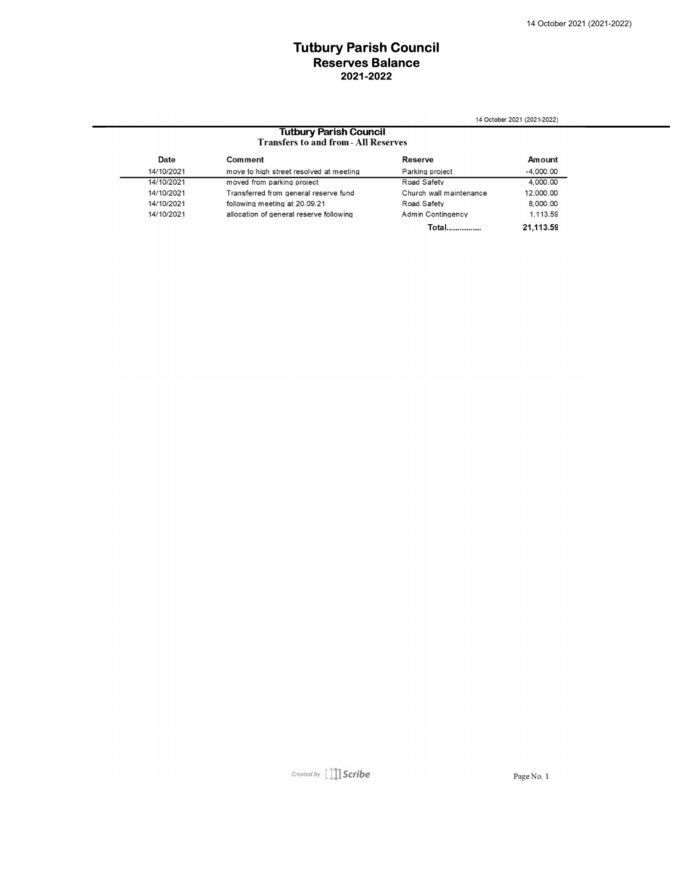#### Tutbury Parish Council 2021-2022 Reserves Balance

14 October 2021 (2021-2022)

# **Tutbury Parish Council**<br>Transfers to and from - All Reserves

| Date       | Comment                                 | <b>Reserve</b>          | Amount      |
|------------|-----------------------------------------|-------------------------|-------------|
| 14/10/2021 | move to high street resolved at meeting | Parking project         | $-4.000.00$ |
| 14/10/2021 | moved from parking project              | Road Safety             | 4.000.00    |
| 14/10/2021 | Transferred from general reserve fund   | Church wall maintenance | 12,000.00   |
| 14/10/2021 | following meeting at 20.09.21           | Road Safety             | 8,000.00    |
| 14/10/2021 | allocation of general reserve following | Admin Contingency       | 1.113.59    |
|            |                                         | <b>Total</b>            | 21,113.59   |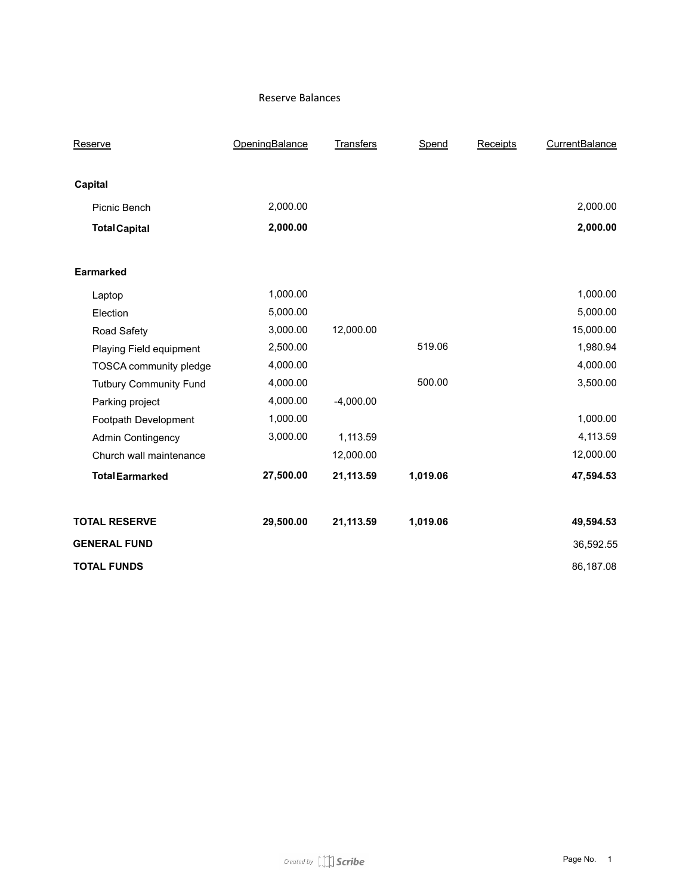#### Reserve Balances

| Reserve                       | OpeningBalance | <b>Transfers</b> | Spend    | Receipts | CurrentBalance |
|-------------------------------|----------------|------------------|----------|----------|----------------|
|                               |                |                  |          |          |                |
| Capital                       |                |                  |          |          |                |
| Picnic Bench                  | 2,000.00       |                  |          |          | 2,000.00       |
| <b>Total Capital</b>          | 2,000.00       |                  |          |          | 2,000.00       |
|                               |                |                  |          |          |                |
| Earmarked                     |                |                  |          |          |                |
| Laptop                        | 1,000.00       |                  |          |          | 1,000.00       |
| Election                      | 5,000.00       |                  |          |          | 5,000.00       |
| Road Safety                   | 3,000.00       | 12,000.00        |          |          | 15,000.00      |
| Playing Field equipment       | 2,500.00       |                  | 519.06   |          | 1,980.94       |
| TOSCA community pledge        | 4,000.00       |                  |          |          | 4,000.00       |
| <b>Tutbury Community Fund</b> | 4,000.00       |                  | 500.00   |          | 3,500.00       |
| Parking project               | 4,000.00       | $-4,000.00$      |          |          |                |
| Footpath Development          | 1,000.00       |                  |          |          | 1,000.00       |
| <b>Admin Contingency</b>      | 3,000.00       | 1,113.59         |          |          | 4,113.59       |
| Church wall maintenance       |                | 12,000.00        |          |          | 12,000.00      |
| <b>Total Earmarked</b>        | 27,500.00      | 21,113.59        | 1,019.06 |          | 47,594.53      |
| <b>TOTAL RESERVE</b>          | 29,500.00      | 21,113.59        | 1,019.06 |          | 49,594.53      |
| <b>GENERAL FUND</b>           |                |                  |          |          | 36,592.55      |
| <b>TOTAL FUNDS</b>            |                |                  |          |          | 86,187.08      |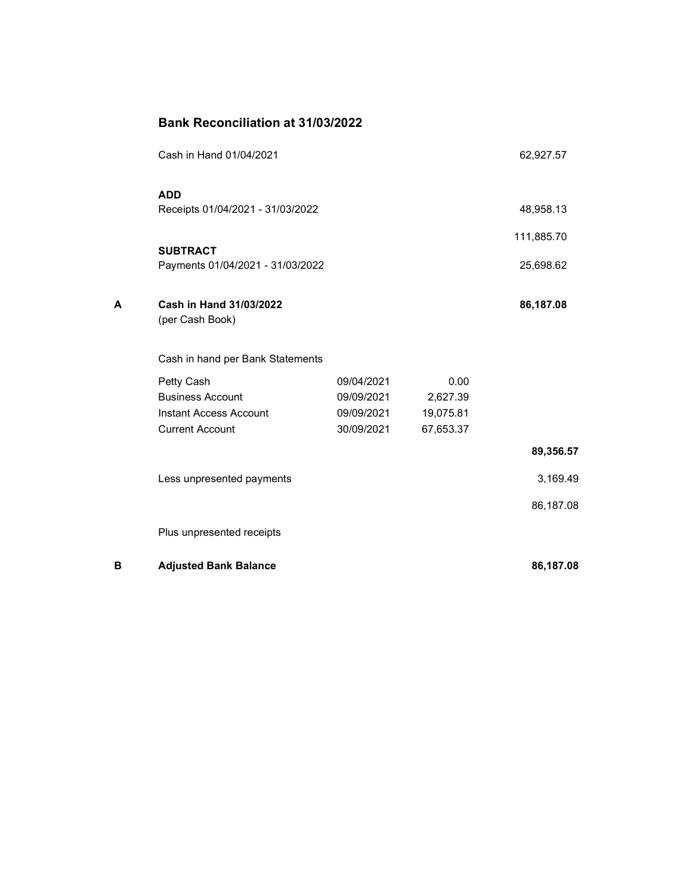|   | <b>Bank Reconciliation at 31/03/2022</b>   |            |           |            |
|---|--------------------------------------------|------------|-----------|------------|
|   | Cash in Hand 01/04/2021                    |            |           | 62,927.57  |
|   | <b>ADD</b>                                 |            |           |            |
|   | Receipts 01/04/2021 - 31/03/2022           |            |           | 48,958.13  |
|   | <b>SUBTRACT</b>                            |            |           | 111,885.70 |
|   | Payments 01/04/2021 - 31/03/2022           |            |           | 25,698.62  |
|   |                                            |            |           |            |
| А | Cash in Hand 31/03/2022<br>(per Cash Book) |            |           | 86,187.08  |
|   | Cash in hand per Bank Statements           |            |           |            |
|   | Petty Cash                                 | 09/04/2021 | 0.00      |            |
|   | <b>Business Account</b>                    | 09/09/2021 | 2,627.39  |            |
|   | Instant Access Account                     | 09/09/2021 | 19,075.81 |            |
|   | <b>Current Account</b>                     | 30/09/2021 | 67,653.37 |            |
|   |                                            |            |           | 89,356.57  |
|   | Less unpresented payments                  |            |           | 3,169.49   |
|   |                                            |            |           | 86,187.08  |
|   | Plus unpresented receipts                  |            |           |            |
| В | <b>Adjusted Bank Balance</b>               |            |           | 86,187.08  |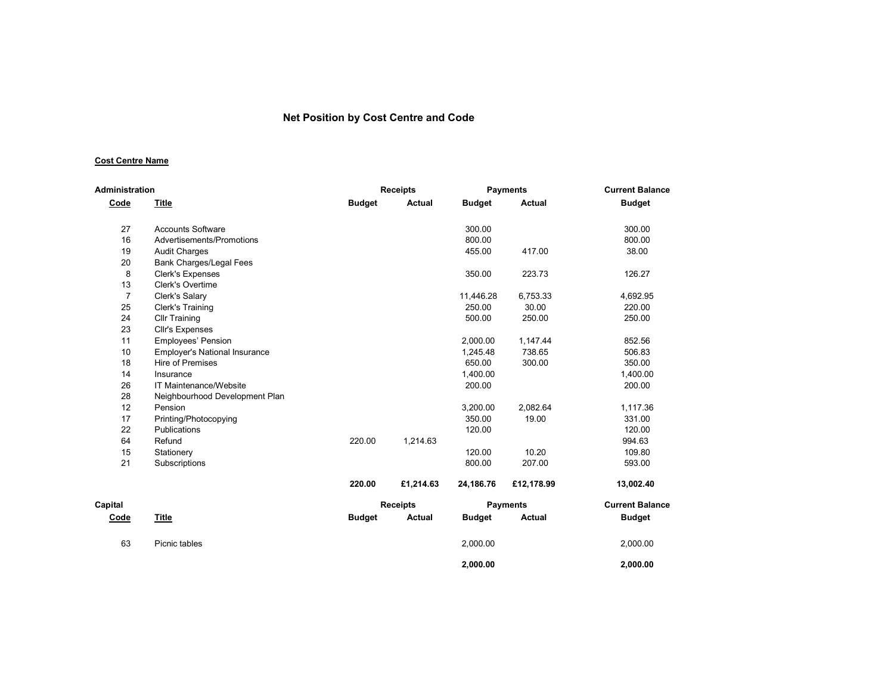#### Net Position by Cost Centre and Code

#### Cost Centre Name

| <b>Administration</b> |                                      |               | <b>Receipts</b> |               | <b>Payments</b> | <b>Current Balance</b> |
|-----------------------|--------------------------------------|---------------|-----------------|---------------|-----------------|------------------------|
| Code                  | Title                                | <b>Budget</b> | Actual          | <b>Budget</b> | <b>Actual</b>   | <b>Budget</b>          |
| 27                    | <b>Accounts Software</b>             |               |                 | 300.00        |                 | 300.00                 |
| 16                    | Advertisements/Promotions            |               |                 | 800.00        |                 | 800.00                 |
| 19                    | <b>Audit Charges</b>                 |               |                 | 455.00        | 417.00          | 38.00                  |
| 20                    | <b>Bank Charges/Legal Fees</b>       |               |                 |               |                 |                        |
| 8                     | <b>Clerk's Expenses</b>              |               |                 | 350.00        | 223.73          | 126.27                 |
| 13                    | Clerk's Overtime                     |               |                 |               |                 |                        |
| $\overline{7}$        | Clerk's Salary                       |               |                 | 11,446.28     | 6,753.33        | 4,692.95               |
| 25                    | Clerk's Training                     |               |                 | 250.00        | 30.00           | 220.00                 |
| 24                    | <b>Cllr Training</b>                 |               |                 | 500.00        | 250.00          | 250.00                 |
| 23                    | Cllr's Expenses                      |               |                 |               |                 |                        |
| 11                    | <b>Employees' Pension</b>            |               |                 | 2,000.00      | 1,147.44        | 852.56                 |
| 10                    | <b>Employer's National Insurance</b> |               |                 | 1,245.48      | 738.65          | 506.83                 |
| 18                    | <b>Hire of Premises</b>              |               |                 | 650.00        | 300.00          | 350.00                 |
| 14                    | Insurance                            |               |                 | 1,400.00      |                 | 1,400.00               |
| 26                    | IT Maintenance/Website               |               |                 | 200.00        |                 | 200.00                 |
| 28                    | Neighbourhood Development Plan       |               |                 |               |                 |                        |
| 12                    | Pension                              |               |                 | 3,200.00      | 2,082.64        | 1,117.36               |
| 17                    | Printing/Photocopying                |               |                 | 350.00        | 19.00           | 331.00                 |
| 22                    | <b>Publications</b>                  |               |                 | 120.00        |                 | 120.00                 |
| 64                    | Refund                               | 220.00        | 1,214.63        |               |                 | 994.63                 |
| 15                    | Stationery                           |               |                 | 120.00        | 10.20           | 109.80                 |
| 21                    | Subscriptions                        |               |                 | 800.00        | 207.00          | 593.00                 |
|                       |                                      | 220.00        | £1,214.63       | 24,186.76     | £12,178.99      | 13,002.40              |
| Capital               |                                      |               | <b>Receipts</b> |               | <b>Payments</b> | <b>Current Balance</b> |
| Code                  | <b>Title</b>                         | <b>Budget</b> | Actual          | <b>Budget</b> | <b>Actual</b>   | <b>Budget</b>          |
| 63                    | Picnic tables                        |               |                 | 2,000.00      |                 | 2,000.00               |
|                       |                                      |               |                 | 2.000.00      |                 | 2.000.00               |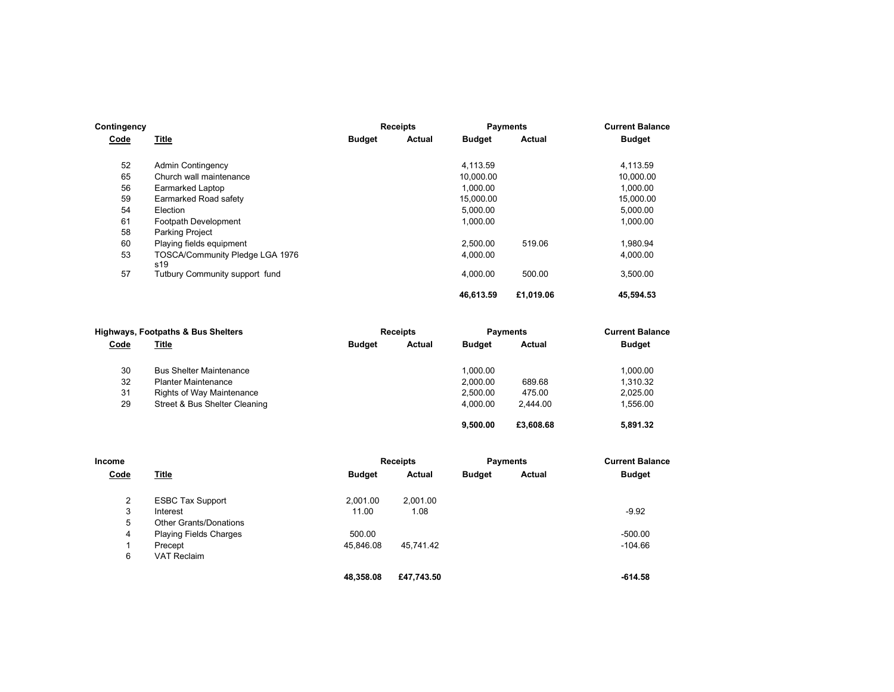| Contingency |                                        |               | <b>Receipts</b> |               | <b>Payments</b> | <b>Current Balance</b> |
|-------------|----------------------------------------|---------------|-----------------|---------------|-----------------|------------------------|
| Code        | <b>Title</b>                           | <b>Budget</b> | Actual          | <b>Budget</b> | Actual          | <b>Budget</b>          |
| 52          | <b>Admin Contingency</b>               |               |                 | 4.113.59      |                 | 4.113.59               |
| 65          | Church wall maintenance                |               |                 | 10,000.00     |                 | 10,000.00              |
| 56          | Earmarked Laptop                       |               |                 | 1,000.00      |                 | 1,000.00               |
| 59          | Earmarked Road safety                  |               |                 | 15,000.00     |                 | 15,000.00              |
| 54          | Election                               |               |                 | 5,000.00      |                 | 5,000.00               |
| 61          | Footpath Development                   |               |                 | 1,000.00      |                 | 1,000.00               |
| 58          | <b>Parking Project</b>                 |               |                 |               |                 |                        |
| 60          | Playing fields equipment               |               |                 | 2.500.00      | 519.06          | 1.980.94               |
| 53          | TOSCA/Community Pledge LGA 1976<br>s19 |               |                 | 4,000.00      |                 | 4,000.00               |
| 57          | Tutbury Community support fund         |               |                 | 4.000.00      | 500.00          | 3,500.00               |
|             |                                        |               |                 | 46.613.59     | £1,019.06       | 45,594.53              |

|      | <b>Highways, Footpaths &amp; Bus Shelters</b> |               | <b>Receipts</b> |               | <b>Payments</b> | <b>Current Balance</b> |
|------|-----------------------------------------------|---------------|-----------------|---------------|-----------------|------------------------|
| Code | <u>Title</u>                                  | <b>Budget</b> | Actual          | <b>Budget</b> | Actual          | <b>Budget</b>          |
| 30   | <b>Bus Shelter Maintenance</b>                |               |                 | 1.000.00      |                 | 1.000.00               |
| 32   | <b>Planter Maintenance</b>                    |               |                 | 2.000.00      | 689.68          | 1.310.32               |
| 31   | Rights of Way Maintenance                     |               |                 | 2.500.00      | 475.00          | 2.025.00               |
| 29   | Street & Bus Shelter Cleaning                 |               |                 | 4.000.00      | 2.444.00        | 1,556.00               |
|      |                                               |               |                 | 9.500.00      | £3,608,68       | 5.891.32               |

| Income         |                               |               | <b>Receipts</b> | <b>Payments</b> |        | <b>Current Balance</b> |  |
|----------------|-------------------------------|---------------|-----------------|-----------------|--------|------------------------|--|
| Code           | Title                         | <b>Budget</b> | <b>Actual</b>   | <b>Budget</b>   | Actual | <b>Budget</b>          |  |
| $\overline{2}$ | <b>ESBC Tax Support</b>       | 2.001.00      | 2.001.00        |                 |        |                        |  |
| 3              | Interest                      | 11.00         | 1.08            |                 |        | $-9.92$                |  |
| 5              | <b>Other Grants/Donations</b> |               |                 |                 |        |                        |  |
| 4              | <b>Playing Fields Charges</b> | 500.00        |                 |                 |        | $-500.00$              |  |
|                | Precept                       | 45.846.08     | 45.741.42       |                 |        | $-104.66$              |  |
| 6              | <b>VAT Reclaim</b>            |               |                 |                 |        |                        |  |
|                |                               | 48.358.08     | £47.743.50      |                 |        | $-614.58$              |  |